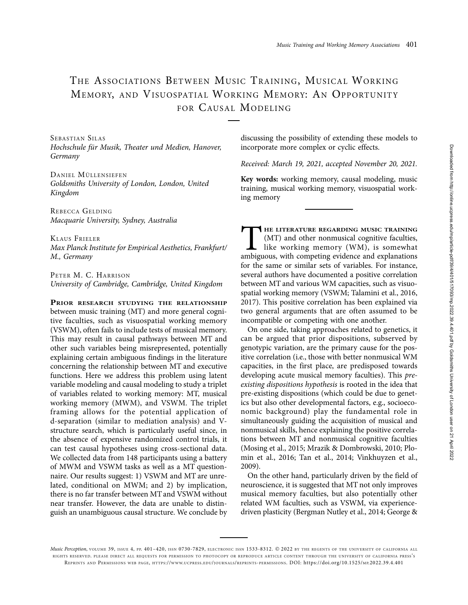# THE ASSOCIATIONS BETWEEN MUSIC TRAINING, MUSICAL WORKING MEMORY, AND VISUOSPATIAL WORKING MEMORY: AN OPPORTUNITY FOR CAUSAL MODELING

SEBASTIAN SILAS Hochschule für Musik, Theater und Medien, Hanover, Germany

DANIEL MÜLLENSIEFEN Goldsmiths University of London, London, United Kingdom

REBECCA GELDING Macquarie University, Sydney, Australia

KLAUS FRIELER Max Planck Institute for Empirical Aesthetics, Frankfurt/ M., Germany

PETER M. C. HARRISON University of Cambridge, Cambridge, United Kingdom

PRIOR RESEARCH STUDYING THE RELATIONSHIP between music training (MT) and more general cognitive faculties, such as visuospatial working memory (VSWM), often fails to include tests of musical memory. This may result in causal pathways between MT and other such variables being misrepresented, potentially explaining certain ambiguous findings in the literature concerning the relationship between MT and executive functions. Here we address this problem using latent variable modeling and causal modeling to study a triplet of variables related to working memory: MT, musical working memory (MWM), and VSWM. The triplet framing allows for the potential application of d-separation (similar to mediation analysis) and Vstructure search, which is particularly useful since, in the absence of expensive randomized control trials, it can test causal hypotheses using cross-sectional data. We collected data from 148 participants using a battery of MWM and VSWM tasks as well as a MT questionnaire. Our results suggest: 1) VSWM and MT are unrelated, conditional on MWM; and 2) by implication, there is no far transfer between MT and VSWM without near transfer. However, the data are unable to distinguish an unambiguous causal structure. We conclude by

discussing the possibility of extending these models to incorporate more complex or cyclic effects.

Received: March 19, 2021, accepted November 20, 2021.

Key words: working memory, causal modeling, music training, musical working memory, visuospatial working memory

THE LITERATURE REGARDING MUSIC TRAINING<br>
(MT) and other nonmusical cognitive faculties,<br>
like working memory (WM), is somewhat<br>
ambiguous, with competing evidence and explanations (MT) and other nonmusical cognitive faculties, like working memory (WM), is somewhat ambiguous, with competing evidence and explanations for the same or similar sets of variables. For instance, several authors have documented a positive correlation between MT and various WM capacities, such as visuospatial working memory (VSWM; Talamini et al., 2016, 2017). This positive correlation has been explained via two general arguments that are often assumed to be incompatible or competing with one another.

On one side, taking approaches related to genetics, it can be argued that prior dispositions, subserved by genotypic variation, are the primary cause for the positive correlation (i.e., those with better nonmusical WM capacities, in the first place, are predisposed towards developing acute musical memory faculties). This preexisting dispositions hypothesis is rooted in the idea that pre-existing dispositions (which could be due to genetics but also other developmental factors, e.g., socioeconomic background) play the fundamental role in simultaneously guiding the acquisition of musical and nonmusical skills, hence explaining the positive correlations between MT and nonmusical cognitive faculties (Mosing et al., 2015; Mrazik & Dombrowski, 2010; Plomin et al., 2016; Tan et al., 2014; Vinkhuyzen et al., 2009).

On the other hand, particularly driven by the field of neuroscience, it is suggested that MT not only improves musical memory faculties, but also potentially other related WM faculties, such as VSWM, via experiencedriven plasticity (Bergman Nutley et al., 2014; George &

Music Perception, VOLUME 39, ISSUE 4, PP. 401-420, ISSN 0730-7829, ELECTRONIC ISSN 1533-8312. @ 2022 BY THE REGENTS OF THE UNIVERSITY OF CALIFORNIA ALL RIGHTS RESERVED. PLEASE DIRECT ALL REQUESTS FOR PERMISSION TO PHOTOCOPY OR REPRODUCE ARTICLE CONTENT THROUGH THE UNIVERSITY OF CALIFORNIA PRESS'S REPRINTS AND PERMISSIONS WEB PAGE, [HTTPS://WWW.UCPRESS.EDU/JOURNALS/REPRINTS-PERMISSIONS.](https://www.ucpress.edu/journals/reprints-permissions) [DOI: https://doi.org/10.1525/MP.2022.39.4.401](https://doi.org/10.1525/mp.2022.39.4.401)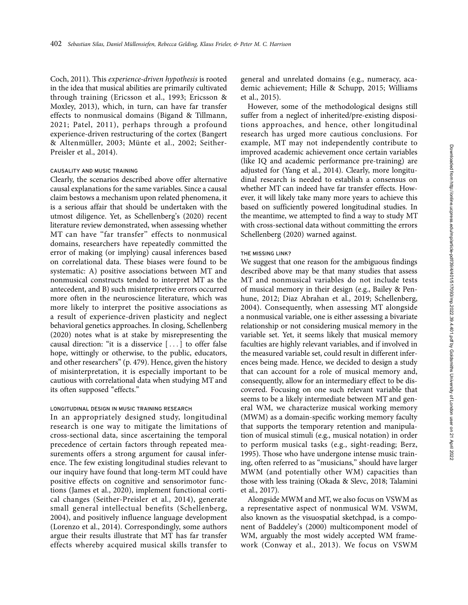Coch, 2011). This experience-driven hypothesis is rooted in the idea that musical abilities are primarily cultivated through training (Ericsson et al., 1993; Ericsson & Moxley, 2013), which, in turn, can have far transfer effects to nonmusical domains (Bigand & Tillmann, 2021; Patel, 2011), perhaps through a profound experience-driven restructuring of the cortex (Bangert & Altenmüller, 2003; Münte et al., 2002; Seither-Preisler et al., 2014).

#### CAUSALITY AND MUSIC TRAINING

Clearly, the scenarios described above offer alternative causal explanations for the same variables. Since a causal claim bestows a mechanism upon related phenomena, it is a serious affair that should be undertaken with the utmost diligence. Yet, as Schellenberg's (2020) recent literature review demonstrated, when assessing whether MT can have "far transfer" effects to nonmusical domains, researchers have repeatedly committed the error of making (or implying) causal inferences based on correlational data. These biases were found to be systematic: A) positive associations between MT and nonmusical constructs tended to interpret MT as the antecedent, and B) such misinterpretive errors occurred more often in the neuroscience literature, which was more likely to interpret the positive associations as a result of experience-driven plasticity and neglect behavioral genetics approaches. In closing, Schellenberg (2020) notes what is at stake by misrepresenting the causal direction: "it is a disservice  $[...]$  to offer false hope, wittingly or otherwise, to the public, educators, and other researchers'' (p. 479). Hence, given the history of misinterpretation, it is especially important to be cautious with correlational data when studying MT and its often supposed "effects."

#### LONGITUDINAL DESIGN IN MUSIC TRAINING RESEARCH

In an appropriately designed study, longitudinal research is one way to mitigate the limitations of cross-sectional data, since ascertaining the temporal precedence of certain factors through repeated measurements offers a strong argument for causal inference. The few existing longitudinal studies relevant to our inquiry have found that long-term MT could have positive effects on cognitive and sensorimotor functions (James et al., 2020), implement functional cortical changes (Seither-Preisler et al., 2014), generate small general intellectual benefits (Schellenberg, 2004), and positively influence language development (Lorenzo et al., 2014). Correspondingly, some authors argue their results illustrate that MT has far transfer effects whereby acquired musical skills transfer to

general and unrelated domains (e.g., numeracy, academic achievement; Hille & Schupp, 2015; Williams et al., 2015).

However, some of the methodological designs still suffer from a neglect of inherited/pre-existing dispositions approaches, and hence, other longitudinal research has urged more cautious conclusions. For example, MT may not independently contribute to improved academic achievement once certain variables (like IQ and academic performance pre-training) are adjusted for (Yang et al., 2014). Clearly, more longitudinal research is needed to establish a consensus on whether MT can indeed have far transfer effects. However, it will likely take many more years to achieve this based on sufficiently powered longitudinal studies. In the meantime, we attempted to find a way to study MT with cross-sectional data without committing the errors Schellenberg (2020) warned against.

#### THE MISSING LINK?

We suggest that one reason for the ambiguous findings described above may be that many studies that assess MT and nonmusical variables do not include tests of musical memory in their design (e.g., Bailey & Penhune, 2012; Diaz Abrahan et al., 2019; Schellenberg, 2004). Consequently, when assessing MT alongside a nonmusical variable, one is either assessing a bivariate relationship or not considering musical memory in the variable set. Yet, it seems likely that musical memory faculties are highly relevant variables, and if involved in the measured variable set, could result in different inferences being made. Hence, we decided to design a study that can account for a role of musical memory and, consequently, allow for an intermediary effect to be discovered. Focusing on one such relevant variable that seems to be a likely intermediate between MT and general WM, we characterize musical working memory (MWM) as a domain-specific working memory faculty that supports the temporary retention and manipulation of musical stimuli (e.g., musical notation) in order to perform musical tasks (e.g., sight-reading; Berz, 1995). Those who have undergone intense music training, often referred to as ''musicians,'' should have larger MWM (and potentially other WM) capacities than those with less training (Okada & Slevc, 2018; Talamini et al., 2017).

Alongside MWM and MT, we also focus on VSWM as a representative aspect of nonmusical WM. VSWM, also known as the visuospatial sketchpad, is a component of Baddeley's (2000) multicomponent model of WM, arguably the most widely accepted WM framework (Conway et al., 2013). We focus on VSWM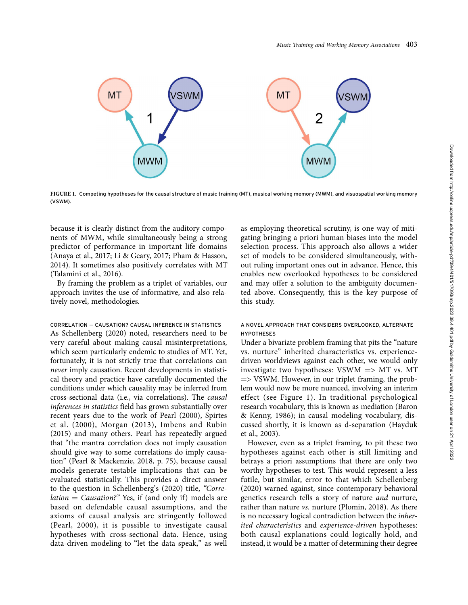

FIGURE 1. Competing hypotheses for the causal structure of music training (MT), musical working memory (MWM), and visuospatial working memory (VSWM).

because it is clearly distinct from the auditory components of MWM, while simultaneously being a strong predictor of performance in important life domains (Anaya et al., 2017; Li & Geary, 2017; Pham & Hasson, 2014). It sometimes also positively correlates with MT (Talamini et al., 2016).

By framing the problem as a triplet of variables, our approach invites the use of informative, and also relatively novel, methodologies.

 $CORRELATION = CAUSATION? CAUSAL INFERENCE IN STATISTICS$ As Schellenberg (2020) noted, researchers need to be very careful about making causal misinterpretations, which seem particularly endemic to studies of MT. Yet, fortunately, it is not strictly true that correlations can never imply causation. Recent developments in statistical theory and practice have carefully documented the conditions under which causality may be inferred from cross-sectional data (i.e., via correlations). The causal inferences in statistics field has grown substantially over recent years due to the work of Pearl (2000), Spirtes et al. (2000), Morgan (2013), Imbens and Rubin (2015) and many others. Pearl has repeatedly argued that ''the mantra correlation does not imply causation should give way to some correlations do imply causation'' (Pearl & Mackenzie, 2018, p. 75), because causal models generate testable implications that can be evaluated statistically. This provides a direct answer to the question in Schellenberg's (2020) title, "Corre $lation =$  Causation?" Yes, if (and only if) models are based on defendable causal assumptions, and the axioms of causal analysis are stringently followed (Pearl, 2000), it is possible to investigate causal hypotheses with cross-sectional data. Hence, using data-driven modeling to "let the data speak," as well

as employing theoretical scrutiny, is one way of mitigating bringing a priori human biases into the model selection process. This approach also allows a wider set of models to be considered simultaneously, without ruling important ones out in advance. Hence, this enables new overlooked hypotheses to be considered and may offer a solution to the ambiguity documented above. Consequently, this is the key purpose of this study.

## A NOVEL APPROACH THAT CONSIDERS OVERLOOKED, ALTERNATE **HYPOTHESES**

Under a bivariate problem framing that pits the ''nature vs. nurture'' inherited characteristics vs. experiencedriven worldviews against each other, we would only investigate two hypotheses: VSWM  $\Rightarrow$  MT vs. MT  $\Rightarrow$  VSWM. However, in our triplet framing, the problem would now be more nuanced, involving an interim effect (see Figure 1). In traditional psychological research vocabulary, this is known as mediation (Baron & Kenny, 1986); in causal modeling vocabulary, discussed shortly, it is known as d-separation (Hayduk et al., 2003).

However, even as a triplet framing, to pit these two hypotheses against each other is still limiting and betrays a priori assumptions that there are only two worthy hypotheses to test. This would represent a less futile, but similar, error to that which Schellenberg (2020) warned against, since contemporary behavioral genetics research tells a story of nature and nurture, rather than nature vs. nurture (Plomin, 2018). As there is no necessary logical contradiction between the inherited characteristics and experience-driven hypotheses: both causal explanations could logically hold, and instead, it would be a matter of determining their degree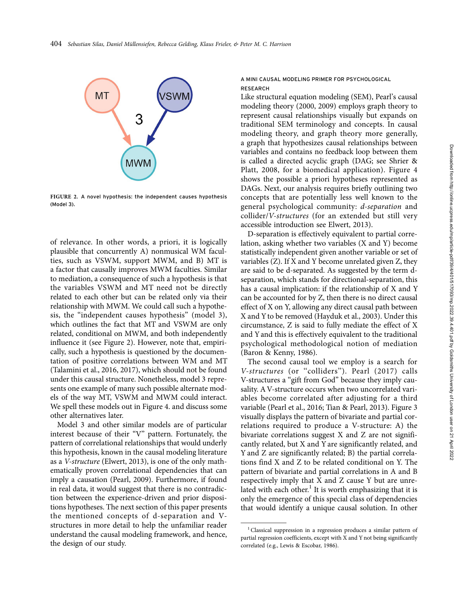

FIGURE 2. A novel hypothesis: the independent causes hypothesis (Model 3).

of relevance. In other words, a priori, it is logically plausible that concurrently A) nonmusical WM faculties, such as VSWM, support MWM, and B) MT is a factor that causally improves MWM faculties. Similar to mediation, a consequence of such a hypothesis is that the variables VSWM and MT need not be directly related to each other but can be related only via their relationship with MWM. We could call such a hypothesis, the ''independent causes hypothesis'' (model 3), which outlines the fact that MT and VSWM are only related, conditional on MWM, and both independently influence it (see Figure 2). However, note that, empirically, such a hypothesis is questioned by the documentation of positive correlations between WM and MT (Talamini et al., 2016, 2017), which should not be found under this causal structure. Nonetheless, model 3 represents one example of many such possible alternate models of the way MT, VSWM and MWM could interact. We spell these models out in Figure 4. and discuss some other alternatives later.

Model 3 and other similar models are of particular interest because of their "V" pattern. Fortunately, the pattern of correlational relationships that would underly this hypothesis, known in the causal modeling literature as a V-structure (Elwert, 2013), is one of the only mathematically proven correlational dependencies that can imply a causation (Pearl, 2009). Furthermore, if found in real data, it would suggest that there is no contradiction between the experience-driven and prior dispositions hypotheses. The next section of this paper presents the mentioned concepts of d-separation and Vstructures in more detail to help the unfamiliar reader understand the causal modeling framework, and hence, the design of our study.

## A MINI CAUSAL MODELING PRIMER FOR PSYCHOLOGICAL **RESEARCH**

Like structural equation modeling (SEM), Pearl's causal modeling theory (2000, 2009) employs graph theory to represent causal relationships visually but expands on traditional SEM terminology and concepts. In causal modeling theory, and graph theory more generally, a graph that hypothesizes causal relationships between variables and contains no feedback loop between them is called a directed acyclic graph (DAG; see Shrier & Platt, 2008, for a biomedical application). Figure 4 shows the possible a priori hypotheses represented as DAGs. Next, our analysis requires briefly outlining two concepts that are potentially less well known to the general psychological community: d-separation and collider/V-structures (for an extended but still very accessible introduction see Elwert, 2013).

D-separation is effectively equivalent to partial correlation, asking whether two variables (X and Y) become statistically independent given another variable or set of variables (Z). If X and Y become unrelated given Z, they are said to be d-separated. As suggested by the term dseparation, which stands for directional-separation, this has a causal implication: if the relationship of X and Y can be accounted for by Z, then there is no direct causal effect of X on Y, allowing any direct causal path between X and Y to be removed (Hayduk et al., 2003). Under this circumstance, Z is said to fully mediate the effect of X and Y and this is effectively equivalent to the traditional psychological methodological notion of mediation (Baron & Kenny, 1986).

The second causal tool we employ is a search for V-structures (or ''colliders''). Pearl (2017) calls V-structures a ''gift from God'' because they imply causality. AV-structure occurs when two uncorrelated variables become correlated after adjusting for a third variable (Pearl et al., 2016; Tian & Pearl, 2013). Figure 3 visually displays the pattern of bivariate and partial correlations required to produce a V-structure: A) the bivariate correlations suggest X and Z are not significantly related, but X and Y are significantly related, and Y and Z are significantly related; B) the partial correlations find X and Z to be related conditional on Y. The pattern of bivariate and partial correlations in A and B respectively imply that X and Z cause Y but are unrelated with each other.<sup>1</sup> It is worth emphasizing that it is only the emergence of this special class of dependencies that would identify a unique causal solution. In other

<sup>&</sup>lt;sup>1</sup> Classical suppression in a regression produces a similar pattern of partial regression coefficients, except with X and Y not being significantly correlated (e.g., Lewis & Escobar, 1986).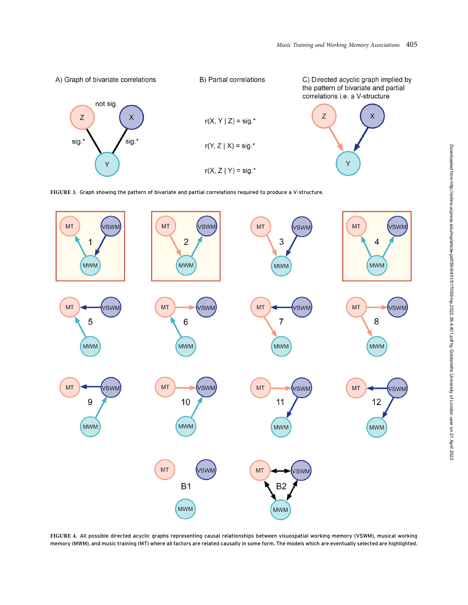

FIGURE 3. Graph showing the pattern of bivariate and partial correlations required to produce a V-structure.



FIGURE 4. All possible directed acyclic graphs representing causal relationships between visuospatial working memory (VSWM), musical working memory (MWM), and music training (MT) where all factors are related causally in some form. The models which are eventually selected are highlighted.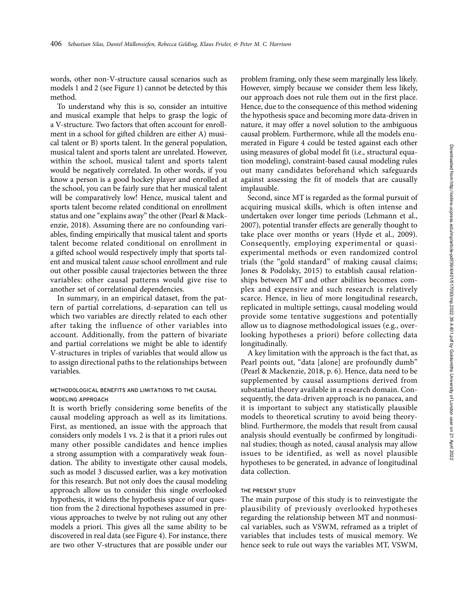words, other non-V-structure causal scenarios such as models 1 and 2 (see Figure 1) cannot be detected by this method.

To understand why this is so, consider an intuitive and musical example that helps to grasp the logic of a V-structure. Two factors that often account for enrollment in a school for gifted children are either A) musical talent or B) sports talent. In the general population, musical talent and sports talent are unrelated. However, within the school, musical talent and sports talent would be negatively correlated. In other words, if you know a person is a good hockey player and enrolled at the school, you can be fairly sure that her musical talent will be comparatively low! Hence, musical talent and sports talent become related conditional on enrollment status and one "explains away" the other (Pearl & Mackenzie, 2018). Assuming there are no confounding variables, finding empirically that musical talent and sports talent become related conditional on enrollment in a gifted school would respectively imply that sports talent and musical talent cause school enrollment and rule out other possible causal trajectories between the three variables: other causal patterns would give rise to another set of correlational dependencies.

In summary, in an empirical dataset, from the pattern of partial correlations, d-separation can tell us which two variables are directly related to each other after taking the influence of other variables into account. Additionally, from the pattern of bivariate and partial correlations we might be able to identify V-structures in triples of variables that would allow us to assign directional paths to the relationships between variables.

## METHODOLOGICAL BENEFITS AND LIMITATIONS TO THE CAUSAL MODELING APPROACH

It is worth briefly considering some benefits of the causal modeling approach as well as its limitations. First, as mentioned, an issue with the approach that considers only models 1 vs. 2 is that it a priori rules out many other possible candidates and hence implies a strong assumption with a comparatively weak foundation. The ability to investigate other causal models, such as model 3 discussed earlier, was a key motivation for this research. But not only does the causal modeling approach allow us to consider this single overlooked hypothesis, it widens the hypothesis space of our question from the 2 directional hypotheses assumed in previous approaches to twelve by not ruling out any other models a priori. This gives all the same ability to be discovered in real data (see Figure 4). For instance, there are two other V-structures that are possible under our

problem framing, only these seem marginally less likely. However, simply because we consider them less likely, our approach does not rule them out in the first place. Hence, due to the consequence of this method widening the hypothesis space and becoming more data-driven in nature, it may offer a novel solution to the ambiguous causal problem. Furthermore, while all the models enumerated in Figure 4 could be tested against each other using measures of global model fit (i.e., structural equation modeling), constraint-based causal modeling rules out many candidates beforehand which safeguards against assessing the fit of models that are causally implausible.

Second, since MT is regarded as the formal pursuit of acquiring musical skills, which is often intense and undertaken over longer time periods (Lehmann et al., 2007), potential transfer effects are generally thought to take place over months or years (Hyde et al., 2009). Consequently, employing experimental or quasiexperimental methods or even randomized control trials (the ''gold standard'' of making causal claims; Jones & Podolsky, 2015) to establish causal relationships between MT and other abilities becomes complex and expensive and such research is relatively scarce. Hence, in lieu of more longitudinal research, replicated in multiple settings, causal modeling would provide some tentative suggestions and potentially allow us to diagnose methodological issues (e.g., overlooking hypotheses a priori) before collecting data longitudinally.

A key limitation with the approach is the fact that, as Pearl points out, "data [alone] are profoundly dumb" (Pearl & Mackenzie, 2018, p. 6). Hence, data need to be supplemented by causal assumptions derived from substantial theory available in a research domain. Consequently, the data-driven approach is no panacea, and it is important to subject any statistically plausible models to theoretical scrutiny to avoid being theoryblind. Furthermore, the models that result from causal analysis should eventually be confirmed by longitudinal studies; though as noted, causal analysis may allow issues to be identified, as well as novel plausible hypotheses to be generated, in advance of longitudinal data collection.

#### THE PRESENT STUDY

The main purpose of this study is to reinvestigate the plausibility of previously overlooked hypotheses regarding the relationship between MT and nonmusical variables, such as VSWM, reframed as a triplet of variables that includes tests of musical memory. We hence seek to rule out ways the variables MT, VSWM,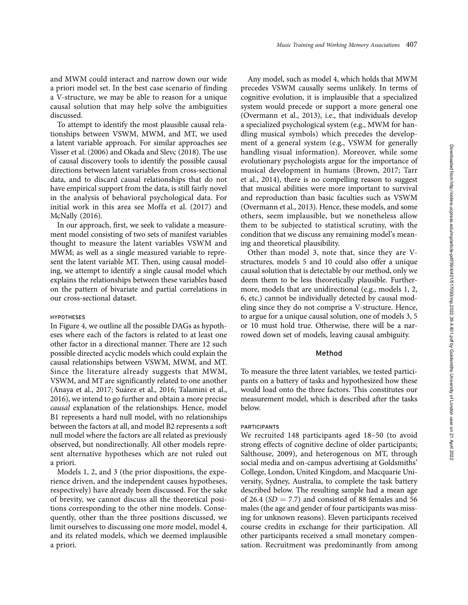and MWM could interact and narrow down our wide a priori model set. In the best case scenario of finding a V-structure, we may be able to reason for a unique causal solution that may help solve the ambiguities discussed.

To attempt to identify the most plausible causal relationships between VSWM, MWM, and MT, we used a latent variable approach. For similar approaches see Visser et al. (2006) and Okada and Slevc (2018). The use of causal discovery tools to identify the possible causal directions between latent variables from cross-sectional data, and to discard causal relationships that do not have empirical support from the data, is still fairly novel in the analysis of behavioral psychological data. For initial work in this area see Moffa et al. (2017) and McNally (2016).

In our approach, first, we seek to validate a measurement model consisting of two sets of manifest variables thought to measure the latent variables VSWM and MWM; as well as a single measured variable to represent the latent variable MT. Then, using causal modeling, we attempt to identify a single causal model which explains the relationships between these variables based on the pattern of bivariate and partial correlations in our cross-sectional dataset.

#### **HYPOTHESES**

In Figure 4, we outline all the possible DAGs as hypotheses where each of the factors is related to at least one other factor in a directional manner. There are 12 such possible directed acyclic models which could explain the causal relationships between VSWM, MWM, and MT. Since the literature already suggests that MWM, VSWM, and MT are significantly related to one another (Anaya et al., 2017; Suárez et al., 2016; Talamini et al., 2016), we intend to go further and obtain a more precise causal explanation of the relationships. Hence, model B1 represents a hard null model, with no relationships between the factors at all, and model B2 represents a soft null model where the factors are all related as previously observed, but nondirectionally. All other models represent alternative hypotheses which are not ruled out a priori.

Models 1, 2, and 3 (the prior dispositions, the experience driven, and the independent causes hypotheses, respectively) have already been discussed. For the sake of brevity, we cannot discuss all the theoretical positions corresponding to the other nine models. Consequently, other than the three positions discussed, we limit ourselves to discussing one more model, model 4, and its related models, which we deemed implausible a priori.

Any model, such as model 4, which holds that MWM precedes VSWM causally seems unlikely. In terms of cognitive evolution, it is implausible that a specialized system would precede or support a more general one (Overmann et al., 2013), i.e., that individuals develop a specialized psychological system (e.g., MWM for handling musical symbols) which precedes the development of a general system (e.g., VSWM for generally handling visual information). Moreover, while some evolutionary psychologists argue for the importance of musical development in humans (Brown, 2017; Tarr et al., 2014), there is no compelling reason to suggest that musical abilities were more important to survival and reproduction than basic faculties such as VSWM (Overmann et al., 2013). Hence, these models, and some others, seem implausible, but we nonetheless allow them to be subjected to statistical scrutiny, with the condition that we discuss any remaining model's meaning and theoretical plausibility.

Other than model 3, note that, since they are Vstructures, models 5 and 10 could also offer a unique causal solution that is detectable by our method, only we deem them to be less theoretically plausible. Furthermore, models that are unidirectional (e.g., models 1, 2, 6, etc.) cannot be individually detected by causal modeling since they do not comprise a V-structure. Hence, to argue for a unique causal solution, one of models 3, 5 or 10 must hold true. Otherwise, there will be a narrowed down set of models, leaving causal ambiguity.

## Method

To measure the three latent variables, we tested participants on a battery of tasks and hypothesized how these would load onto the three factors. This constitutes our measurement model, which is described after the tasks below.

#### PARTICIPANTS

We recruited 148 participants aged 18–50 (to avoid strong effects of cognitive decline of older participants; Salthouse, 2009), and heterogenous on MT, through social media and on-campus advertising at Goldsmiths' College, London, United Kingdom, and Macquarie University, Sydney, Australia, to complete the task battery described below. The resulting sample had a mean age of 26.4 ( $SD = 7.7$ ) and consisted of 88 females and 56 males (the age and gender of four participants was missing for unknown reasons). Eleven participants received course credits in exchange for their participation. All other participants received a small monetary compensation. Recruitment was predominantly from among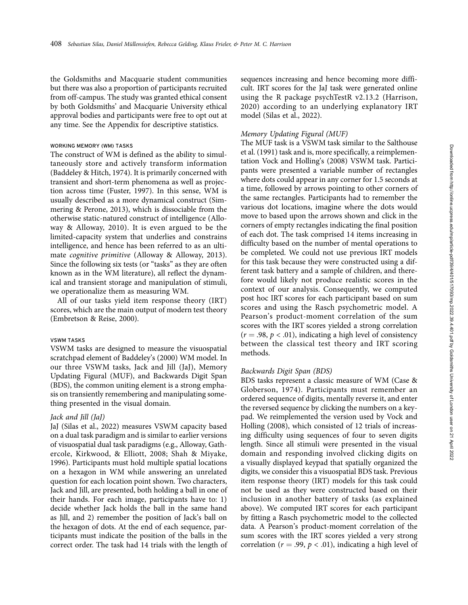the Goldsmiths and Macquarie student communities but there was also a proportion of participants recruited from off-campus. The study was granted ethical consent by both Goldsmiths' and Macquarie University ethical approval bodies and participants were free to opt out at any time. See the Appendix for descriptive statistics.

#### WORKING MEMORY (WM) TASKS

The construct of WM is defined as the ability to simultaneously store and actively transform information (Baddeley & Hitch, 1974). It is primarily concerned with transient and short-term phenomena as well as projection across time (Fuster, 1997). In this sense, WM is usually described as a more dynamical construct (Simmering & Perone, 2013), which is dissociable from the otherwise static-natured construct of intelligence (Alloway & Alloway, 2010). It is even argued to be the limited-capacity system that underlies and constrains intelligence, and hence has been referred to as an ultimate cognitive primitive (Alloway & Alloway, 2013). Since the following six tests (or "tasks" as they are often known as in the WM literature), all reflect the dynamical and transient storage and manipulation of stimuli, we operationalize them as measuring WM.

All of our tasks yield item response theory (IRT) scores, which are the main output of modern test theory (Embretson & Reise, 2000).

#### VSWM TASKS

VSWM tasks are designed to measure the visuospatial scratchpad element of Baddeley's (2000) WM model. In our three VSWM tasks, Jack and Jill (JaJ), Memory Updating Figural (MUF), and Backwards Digit Span (BDS), the common uniting element is a strong emphasis on transiently remembering and manipulating something presented in the visual domain.

## Jack and Jill (JaJ)

JaJ (Silas et al., 2022) measures VSWM capacity based on a dual task paradigm and is similar to earlier versions of visuospatial dual task paradigms (e.g., Alloway, Gathercole, Kirkwood, & Elliott, 2008; Shah & Miyake, 1996). Participants must hold multiple spatial locations on a hexagon in WM while answering an unrelated question for each location point shown. Two characters, Jack and Jill, are presented, both holding a ball in one of their hands. For each image, participants have to: 1) decide whether Jack holds the ball in the same hand as Jill, and 2) remember the position of Jack's ball on the hexagon of dots. At the end of each sequence, participants must indicate the position of the balls in the correct order. The task had 14 trials with the length of sequences increasing and hence becoming more difficult. IRT scores for the JaJ task were generated online using the R package psychTestR v2.13.2 (Harrison, 2020) according to an underlying explanatory IRT model (Silas et al., 2022).

## Memory Updating Figural (MUF)

The MUF task is a VSWM task similar to the Salthouse et al. (1991) task and is, more specifically, a reimplementation Vock and Holling's (2008) VSWM task. Participants were presented a variable number of rectangles where dots could appear in any corner for 1.5 seconds at a time, followed by arrows pointing to other corners of the same rectangles. Participants had to remember the various dot locations, imagine where the dots would move to based upon the arrows shown and click in the corners of empty rectangles indicating the final position of each dot. The task comprised 14 items increasing in difficulty based on the number of mental operations to be completed. We could not use previous IRT models for this task because they were constructed using a different task battery and a sample of children, and therefore would likely not produce realistic scores in the context of our analysis. Consequently, we computed post hoc IRT scores for each participant based on sum scores and using the Rasch psychometric model. A Pearson's product-moment correlation of the sum scores with the IRT scores yielded a strong correlation  $(r = .98, p < .01)$ , indicating a high level of consistency between the classical test theory and IRT scoring methods.

#### Backwards Digit Span (BDS)

BDS tasks represent a classic measure of WM (Case & Globerson, 1974). Participants must remember an ordered sequence of digits, mentally reverse it, and enter the reversed sequence by clicking the numbers on a keypad. We reimplemented the version used by Vock and Holling (2008), which consisted of 12 trials of increasing difficulty using sequences of four to seven digits length. Since all stimuli were presented in the visual domain and responding involved clicking digits on a visually displayed keypad that spatially organized the digits, we consider this a visuospatial BDS task. Previous item response theory (IRT) models for this task could not be used as they were constructed based on their inclusion in another battery of tasks (as explained above). We computed IRT scores for each participant by fitting a Rasch psychometric model to the collected data. A Pearson's product-moment correlation of the sum scores with the IRT scores yielded a very strong correlation ( $r = .99$ ,  $p < .01$ ), indicating a high level of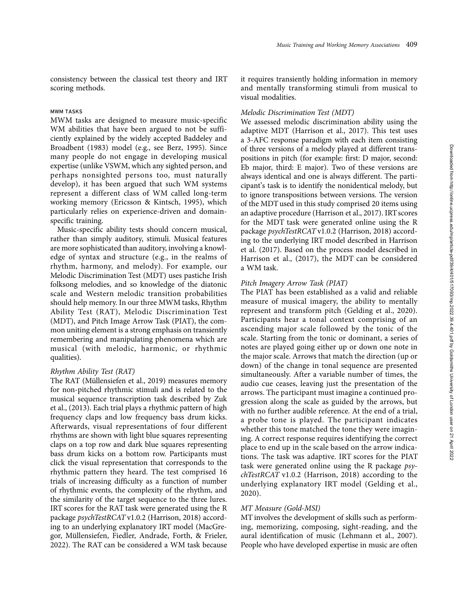consistency between the classical test theory and IRT scoring methods.

#### MWM TASKS

MWM tasks are designed to measure music-specific WM abilities that have been argued to not be sufficiently explained by the widely accepted Baddeley and Broadbent (1983) model (e.g., see Berz, 1995). Since many people do not engage in developing musical expertise (unlike VSWM, which any sighted person, and perhaps nonsighted persons too, must naturally develop), it has been argued that such WM systems represent a different class of WM called long-term working memory (Ericsson & Kintsch, 1995), which particularly relies on experience-driven and domainspecific training.

Music-specific ability tests should concern musical, rather than simply auditory, stimuli. Musical features are more sophisticated than auditory, involving a knowledge of syntax and structure (e.g., in the realms of rhythm, harmony, and melody). For example, our Melodic Discrimination Test (MDT) uses pastiche Irish folksong melodies, and so knowledge of the diatonic scale and Western melodic transition probabilities should help memory. In our three MWM tasks, Rhythm Ability Test (RAT), Melodic Discrimination Test (MDT), and Pitch Image Arrow Task (PIAT), the common uniting element is a strong emphasis on transiently remembering and manipulating phenomena which are musical (with melodic, harmonic, or rhythmic qualities).

## Rhythm Ability Test (RAT)

The RAT (Müllensiefen et al., 2019) measures memory for non-pitched rhythmic stimuli and is related to the musical sequence transcription task described by Zuk et al., (2013). Each trial plays a rhythmic pattern of high frequency claps and low frequency bass drum kicks. Afterwards, visual representations of four different rhythms are shown with light blue squares representing claps on a top row and dark blue squares representing bass drum kicks on a bottom row. Participants must click the visual representation that corresponds to the rhythmic pattern they heard. The test comprised 16 trials of increasing difficulty as a function of number of rhythmic events, the complexity of the rhythm, and the similarity of the target sequence to the three lures. IRT scores for the RAT task were generated using the R package psychTestRCAT v1.0.2 (Harrison, 2018) according to an underlying explanatory IRT model (MacGregor, Müllensiefen, Fiedler, Andrade, Forth, & Frieler, 2022). The RAT can be considered a WM task because

it requires transiently holding information in memory and mentally transforming stimuli from musical to visual modalities.

## Melodic Discrimination Test (MDT)

We assessed melodic discrimination ability using the adaptive MDT (Harrison et al., 2017). This test uses a 3-AFC response paradigm with each item consisting of three versions of a melody played at different transpositions in pitch (for example: first: D major, second: Eb major, third: E major). Two of these versions are always identical and one is always different. The participant's task is to identify the nonidentical melody, but to ignore transpositions between versions. The version of the MDT used in this study comprised 20 items using an adaptive procedure (Harrison et al., 2017). IRT scores for the MDT task were generated online using the R package psychTestRCAT v1.0.2 (Harrison, 2018) according to the underlying IRT model described in Harrison et al. (2017). Based on the process model described in Harrison et al., (2017), the MDT can be considered a WM task.

## Pitch Imagery Arrow Task (PIAT)

The PIAT has been established as a valid and reliable measure of musical imagery, the ability to mentally represent and transform pitch (Gelding et al., 2020). Participants hear a tonal context comprising of an ascending major scale followed by the tonic of the scale. Starting from the tonic or dominant, a series of notes are played going either up or down one note in the major scale. Arrows that match the direction (up or down) of the change in tonal sequence are presented simultaneously. After a variable number of times, the audio cue ceases, leaving just the presentation of the arrows. The participant must imagine a continued progression along the scale as guided by the arrows, but with no further audible reference. At the end of a trial, a probe tone is played. The participant indicates whether this tone matched the tone they were imagining. A correct response requires identifying the correct place to end up in the scale based on the arrow indications. The task was adaptive. IRT scores for the PIAT task were generated online using the R package psychTestRCAT v1.0.2 (Harrison, 2018) according to the underlying explanatory IRT model (Gelding et al., 2020).

## MT Measure (Gold-MSI)

MT involves the development of skills such as performing, memorizing, composing, sight-reading, and the aural identification of music (Lehmann et al., 2007). People who have developed expertise in music are often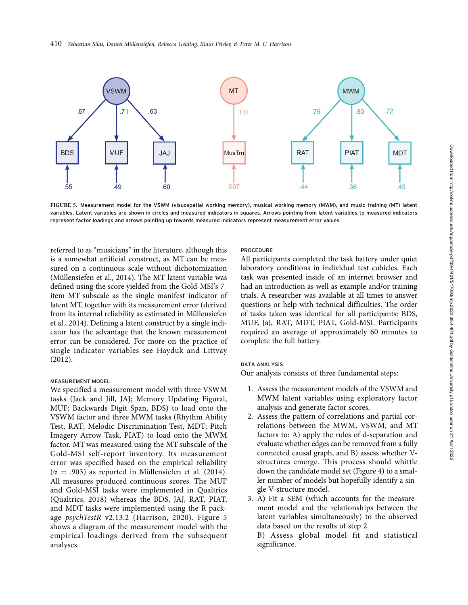

FIGURE 5. Measurement model for the VSWM (visuospatial working memory), musical working memory (MWM), and music training (MT) latent variables. Latent variables are shown in circles and measured indicators in squares. Arrows pointing from latent variables to measured indicators represent factor loadings and arrows pointing up towards measured indicators represent measurement error values.

referred to as ''musicians'' in the literature, although this is a somewhat artificial construct, as MT can be measured on a continuous scale without dichotomization (Müllensiefen et al., 2014). The MT latent variable was defined using the score yielded from the Gold-MSI's 7 item MT subscale as the single manifest indicator of latent MT, together with its measurement error (derived from its internal reliability as estimated in Müllensiefen et al., 2014). Defining a latent construct by a single indicator has the advantage that the known measurement error can be considered. For more on the practice of single indicator variables see Hayduk and Littvay (2012).

## MEASUREMENT MODEL

We specified a measurement model with three VSWM tasks (Jack and Jill, JAJ; Memory Updating Figural, MUF; Backwards Digit Span, BDS) to load onto the VSWM factor and three MWM tasks (Rhythm Ability Test, RAT; Melodic Discrimination Test, MDT; Pitch Imagery Arrow Task, PIAT) to load onto the MWM factor. MT was measured using the MT subscale of the Gold-MSI self-report inventory. Its measurement error was specified based on the empirical reliability ( $\alpha$  = .903) as reported in Müllensiefen et al. (2014). All measures produced continuous scores. The MUF and Gold-MSI tasks were implemented in Qualtrics (Qualtrics, 2018) whereas the BDS, JAJ, RAT, PIAT, and MDT tasks were implemented using the R package psychTestR v2.13.2 (Harrison, 2020). Figure 5 shows a diagram of the measurement model with the empirical loadings derived from the subsequent analyses.

#### PROCEDURE

All participants completed the task battery under quiet laboratory conditions in individual test cubicles. Each task was presented inside of an internet browser and had an introduction as well as example and/or training trials. A researcher was available at all times to answer questions or help with technical difficulties. The order of tasks taken was identical for all participants: BDS, MUF, JaJ, RAT, MDT, PIAT, Gold-MSI. Participants required an average of approximately 60 minutes to complete the full battery.

#### DATA ANALYSIS

Our analysis consists of three fundamental steps:

- 1. Assess the measurement models of the VSWM and MWM latent variables using exploratory factor analysis and generate factor scores.
- 2. Assess the pattern of correlations and partial correlations between the MWM, VSWM, and MT factors to: A) apply the rules of d-separation and evaluate whether edges can be removed from a fully connected causal graph, and B) assess whether Vstructures emerge. This process should whittle down the candidate model set (Figure 4) to a smaller number of models but hopefully identify a single V-structure model.
- 3. A) Fit a SEM (which accounts for the measurement model and the relationships between the latent variables simultaneously) to the observed data based on the results of step 2.

B) Assess global model fit and statistical significance.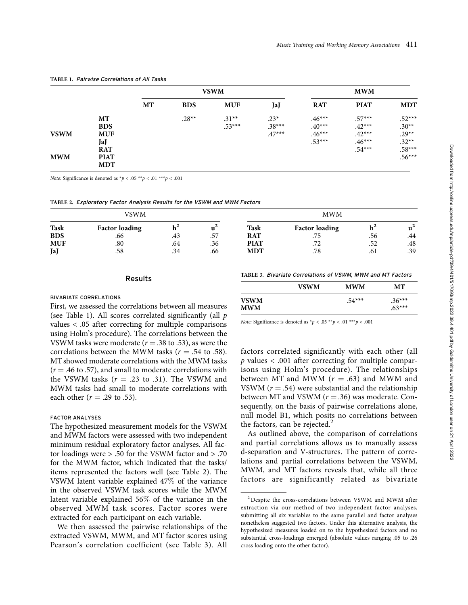|             |                           |    | <b>VSWM</b> |                     |                    |                      | <b>MWM</b>           |                      |  |
|-------------|---------------------------|----|-------------|---------------------|--------------------|----------------------|----------------------|----------------------|--|
|             |                           | MT | <b>BDS</b>  | <b>MUF</b>          | JaJ                | <b>RAT</b>           | <b>PIAT</b>          | <b>MDT</b>           |  |
|             | MT<br><b>BDS</b>          |    | $.28**$     | $.31**$<br>$.53***$ | $.23*$<br>$.38***$ | $.46***$<br>$.40***$ | $.57***$<br>$.42***$ | $.52***$<br>$.30**$  |  |
| <b>VSWM</b> | <b>MUF</b><br>JaJ         |    |             |                     | $.47***$           | $.46***$<br>$.53***$ | $.42***$<br>$.46***$ | $.29**$<br>$.32**$   |  |
| <b>MWM</b>  | <b>RAT</b><br><b>PIAT</b> |    |             |                     |                    |                      | $.54***$             | $.58***$<br>$.56***$ |  |
|             | <b>MDT</b>                |    |             |                     |                    |                      |                      |                      |  |

#### TABLE 1. Pairwise Correlations of All Tasks

Note: Significance is denoted as  $p < .05 \times p < .01 \times p < .001$ 

TABLE 2. Exploratory Factor Analysis Results for the VSWM and MWM Factors

|             | VSWM                  |     |     | <b>MWM</b>  |                       |     |       |
|-------------|-----------------------|-----|-----|-------------|-----------------------|-----|-------|
| <b>Task</b> | <b>Factor loading</b> | ш   |     | <b>Task</b> | <b>Factor loading</b> |     | $u^2$ |
| <b>BDS</b>  | .66                   | .43 | .57 | <b>RAT</b>  | .75                   | .56 | .44   |
| <b>MUF</b>  | $.80\,$               | .64 | .36 | <b>PIAT</b> | .72                   | .52 | .48   |
| JaJ         | .58                   | .34 | .66 | <b>MDT</b>  | .78                   | .61 | .39   |

#### Results

(see Table 1). All scores correlated significantly (all p values < .05 after correcting for multiple comparisons TABLE 3. Bivariate Correlations of VSWM, MWM and MT Factors

## BIVARIATE CORRELATIONS First, we assessed the correlations between all measures

|                           | <b>VSWM</b> | <b>MWM</b> | <b>MT</b>            |
|---------------------------|-------------|------------|----------------------|
| <b>VSWM</b><br><b>MWM</b> |             | $.54***$   | $.36***$<br>$.63***$ |

Note: Significance is denoted as  $np < .05$  \*\* $p < .01$  \*\*\* $p < .001$ 

using Holm's procedure). The correlations between the VSWM tasks were moderate ( $r = .38$  to .53), as were the correlations between the MWM tasks ( $r = .54$  to .58). MT showed moderate correlations with the MWM tasks  $(r = .46 \text{ to } .57)$ , and small to moderate correlations with the VSWM tasks ( $r = .23$  to .31). The VSWM and MWM tasks had small to moderate correlations with each other ( $r = .29$  to .53).

## FACTOR ANALYSES

The hypothesized measurement models for the VSWM and MWM factors were assessed with two independent minimum residual exploratory factor analyses. All factor loadings were > .50 for the VSWM factor and > .70 for the MWM factor, which indicated that the tasks/ items represented the factors well (see Table 2). The VSWM latent variable explained 47% of the variance in the observed VSWM task scores while the MWM latent variable explained 56% of the variance in the observed MWM task scores. Factor scores were extracted for each participant on each variable.

We then assessed the pairwise relationships of the extracted VSWM, MWM, and MT factor scores using Pearson's correlation coefficient (see Table 3). All factors correlated significantly with each other (all  $p$  values  $< .001$  after correcting for multiple comparisons using Holm's procedure). The relationships between MT and MWM  $(r = .63)$  and MWM and VSWM ( $r = .54$ ) were substantial and the relationship between MT and VSWM  $(r = .36)$  was moderate. Consequently, on the basis of pairwise correlations alone, null model B1, which posits no correlations between the factors, can be rejected. $<sup>2</sup>$ </sup>

As outlined above, the comparison of correlations and partial correlations allows us to manually assess d-separation and V-structures. The pattern of correlations and partial correlations between the VSWM, MWM, and MT factors reveals that, while all three factors are significantly related as bivariate

 $^2$  Despite the cross-correlations between VSWM and MWM after extraction via our method of two independent factor analyses, submitting all six variables to the same parallel and factor analyses nonetheless suggested two factors. Under this alternative analysis, the hypothesized measures loaded on to the hypothesized factors and no substantial cross-loadings emerged (absolute values ranging .05 to .26 cross loading onto the other factor).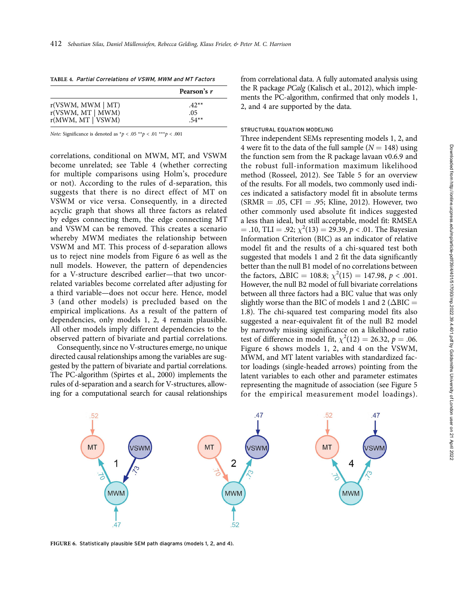| TABLE 4. Partial Correlations of VSWM, MWM and MT Factors |  |
|-----------------------------------------------------------|--|
|-----------------------------------------------------------|--|

|                        | Pearson's r |
|------------------------|-------------|
| r(VSWM, MWM   MT)      | $.42**$     |
| $r(VSWM, MT \mid MWM)$ | .05         |
| r(MWM, MT   VSWM)      | $.54**$     |

Note: Significance is denoted as  $p < .05$  \*\* $p < .01$  \*\*\* $p < .001$ 

correlations, conditional on MWM, MT, and VSWM become unrelated; see Table 4 (whether correcting for multiple comparisons using Holm's, procedure or not). According to the rules of d-separation, this suggests that there is no direct effect of MT on VSWM or vice versa. Consequently, in a directed acyclic graph that shows all three factors as related by edges connecting them, the edge connecting MT and VSWM can be removed. This creates a scenario whereby MWM mediates the relationship between VSWM and MT. This process of d-separation allows us to reject nine models from Figure 6 as well as the null models. However, the pattern of dependencies for a V-structure described earlier—that two uncorrelated variables become correlated after adjusting for a third variable—does not occur here. Hence, model 3 (and other models) is precluded based on the empirical implications. As a result of the pattern of dependencies, only models 1, 2, 4 remain plausible. All other models imply different dependencies to the observed pattern of bivariate and partial correlations.

Consequently, since no V-structures emerge, no unique directed causal relationships among the variables are suggested by the pattern of bivariate and partial correlations. The PC-algorithm (Spirtes et al., 2000) implements the rules of d-separation and a search for V-structures, allowing for a computational search for causal relationships from correlational data. A fully automated analysis using the R package PCalg (Kalisch et al., 2012), which implements the PC-algorithm, confirmed that only models 1, 2, and 4 are supported by the data.

## STRUCTURAL EQUATION MODELING

Three independent SEMs representing models 1, 2, and 4 were fit to the data of the full sample ( $N = 148$ ) using the function sem from the R package lavaan v0.6.9 and the robust full-information maximum likelihood method (Rosseel, 2012). See Table 5 for an overview of the results. For all models, two commonly used indices indicated a satisfactory model fit in absolute terms  $(SRMR = .05, CFI = .95; Kline, 2012)$ . However, two other commonly used absolute fit indices suggested a less than ideal, but still acceptable, model fit: RMSEA = .10, TLI = .92;  $\chi^2(13) = 29.39, p < .01$ . The Bayesian Information Criterion (BIC) as an indicator of relative model fit and the results of a chi-squared test both suggested that models 1 and 2 fit the data significantly better than the null B1 model of no correlations between the factors,  $\triangle BIC = 108.8$ ;  $\chi^2(15) = 147.98$ ,  $p < .001$ . However, the null B2 model of full bivariate correlations between all three factors had a BIC value that was only slightly worse than the BIC of models 1 and 2 ( $\Delta$ BIC = 1.8). The chi-squared test comparing model fits also suggested a near-equivalent fit of the null B2 model by narrowly missing significance on a likelihood ratio test of difference in model fit,  $\chi^2(12) = 26.32$ ,  $p = .06$ . Figure 6 shows models 1, 2, and 4 on the VSWM, MWM, and MT latent variables with standardized factor loadings (single-headed arrows) pointing from the latent variables to each other and parameter estimates representing the magnitude of association (see Figure 5 for the empirical measurement model loadings).



FIGURE 6. Statistically plausible SEM path diagrams (models 1, 2, and 4).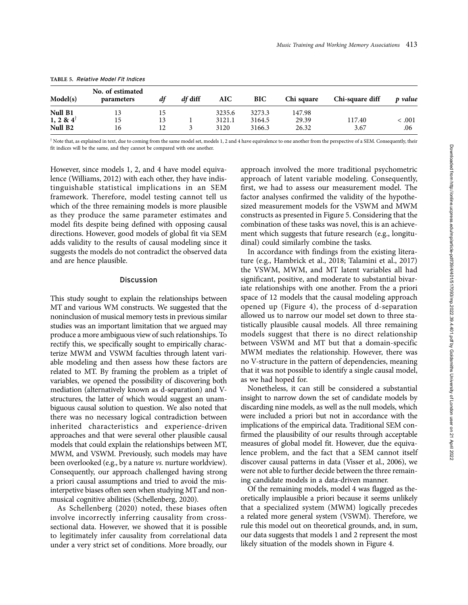| <b>IADLE 5. REIGHVE MOUSE FILLINGES</b><br>No. of estimated<br>Model(s)<br>df diff<br>df<br>BIC<br><b>AIC</b><br>Chi square<br>Chi-square diff<br>p value<br>parameters |          |    |  |                |                  |                |                |                |
|-------------------------------------------------------------------------------------------------------------------------------------------------------------------------|----------|----|--|----------------|------------------|----------------|----------------|----------------|
| Null B1                                                                                                                                                                 | 13       | 15 |  | 3235.6         | 3273.3           | 147.98         |                |                |
| 1, 2 & $4^{\dagger}$<br>Null B <sub>2</sub>                                                                                                                             | 15<br>16 | 13 |  | 3121.1<br>3120 | 3164.5<br>3166.3 | 29.39<br>26.32 | 117.40<br>3.67 | < 0.001<br>.06 |

TABLE 5. Relative Model Fit Indices

 $^{\dagger}$  Note that, as explained in text, due to coming from the same model set, models 1, 2 and 4 have equivalence to one another from the perspective of a SEM. Consequently, their fit indices will be the same, and they cannot be compared with one another.

However, since models 1, 2, and 4 have model equivalence (Williams, 2012) with each other, they have indistinguishable statistical implications in an SEM framework. Therefore, model testing cannot tell us which of the three remaining models is more plausible as they produce the same parameter estimates and model fits despite being defined with opposing causal directions. However, good models of global fit via SEM adds validity to the results of causal modeling since it suggests the models do not contradict the observed data and are hence plausible.

## Discussion

This study sought to explain the relationships between MT and various WM constructs. We suggested that the noninclusion of musical memory tests in previous similar studies was an important limitation that we argued may produce a more ambiguous view of such relationships. To rectify this, we specifically sought to empirically characterize MWM and VSWM faculties through latent variable modeling and then assess how these factors are related to MT. By framing the problem as a triplet of variables, we opened the possibility of discovering both mediation (alternatively known as d-separation) and Vstructures, the latter of which would suggest an unambiguous causal solution to question. We also noted that there was no necessary logical contradiction between inherited characteristics and experience-driven approaches and that were several other plausible causal models that could explain the relationships between MT, MWM, and VSWM. Previously, such models may have been overlooked (e.g., by a nature vs. nurture worldview). Consequently, our approach challenged having strong a priori causal assumptions and tried to avoid the misinterpetive biases often seen when studying MT and nonmusical cognitive abilities (Schellenberg, 2020).

As Schellenberg (2020) noted, these biases often involve incorrectly inferring causality from crosssectional data. However, we showed that it is possible to legitimately infer causality from correlational data under a very strict set of conditions. More broadly, our approach involved the more traditional psychometric approach of latent variable modeling. Consequently, first, we had to assess our measurement model. The factor analyses confirmed the validity of the hypothesized measurement models for the VSWM and MWM constructs as presented in Figure 5. Considering that the combination of these tasks was novel, this is an achievement which suggests that future research (e.g., longitudinal) could similarly combine the tasks.

In accordance with findings from the existing literature (e.g., Hambrick et al., 2018; Talamini et al., 2017) the VSWM, MWM, and MT latent variables all had significant, positive, and moderate to substantial bivariate relationships with one another. From the a priori space of 12 models that the causal modeling approach opened up (Figure 4), the process of d-separation allowed us to narrow our model set down to three statistically plausible causal models. All three remaining models suggest that there is no direct relationship between VSWM and MT but that a domain-specific MWM mediates the relationship. However, there was no V-structure in the pattern of dependencies, meaning that it was not possible to identify a single causal model, as we had hoped for.

Nonetheless, it can still be considered a substantial insight to narrow down the set of candidate models by discarding nine models, as well as the null models, which were included a priori but not in accordance with the implications of the empirical data. Traditional SEM confirmed the plausibility of our results through acceptable measures of global model fit. However, due the equivalence problem, and the fact that a SEM cannot itself discover causal patterns in data (Visser et al., 2006), we were not able to further decide between the three remaining candidate models in a data-driven manner.

Of the remaining models, model 4 was flagged as theoretically implausible a priori because it seems unlikely that a specialized system (MWM) logically precedes a related more general system (VSWM). Therefore, we rule this model out on theoretical grounds, and, in sum, our data suggests that models 1 and 2 represent the most likely situation of the models shown in Figure 4.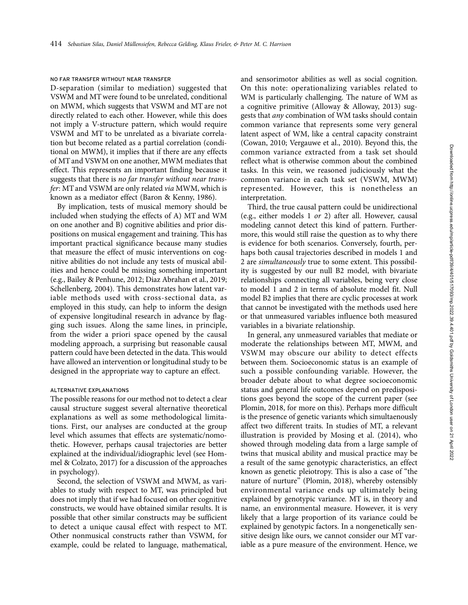#### NO FAR TRANSFER WITHOUT NEAR TRANSFER

D-separation (similar to mediation) suggested that VSWM and MT were found to be unrelated, conditional on MWM, which suggests that VSWM and MT are not directly related to each other. However, while this does not imply a V-structure pattern, which would require VSWM and MT to be unrelated as a bivariate correlation but become related as a partial correlation (conditional on MWM), it implies that if there are any effects of MT and VSWM on one another, MWM mediates that effect. This represents an important finding because it suggests that there is no far transfer without near transfer: MT and VSWM are only related via MWM, which is known as a mediator effect (Baron & Kenny, 1986).

By implication, tests of musical memory should be included when studying the effects of A) MT and WM on one another and B) cognitive abilities and prior dispositions on musical engagement and training. This has important practical significance because many studies that measure the effect of music interventions on cognitive abilities do not include any tests of musical abilities and hence could be missing something important (e.g., Bailey & Penhune, 2012; Diaz Abrahan et al., 2019; Schellenberg, 2004). This demonstrates how latent variable methods used with cross-sectional data, as employed in this study, can help to inform the design of expensive longitudinal research in advance by flagging such issues. Along the same lines, in principle, from the wider a priori space opened by the causal modeling approach, a surprising but reasonable causal pattern could have been detected in the data. This would have allowed an intervention or longitudinal study to be designed in the appropriate way to capture an effect.

## ALTERNATIVE EXPLANATIONS

The possible reasons for our method not to detect a clear causal structure suggest several alternative theoretical explanations as well as some methodological limitations. First, our analyses are conducted at the group level which assumes that effects are systematic/nomothetic. However, perhaps causal trajectories are better explained at the individual/idiographic level (see Hommel & Colzato, 2017) for a discussion of the approaches in psychology).

Second, the selection of VSWM and MWM, as variables to study with respect to MT, was principled but does not imply that if we had focused on other cognitive constructs, we would have obtained similar results. It is possible that other similar constructs may be sufficient to detect a unique causal effect with respect to MT. Other nonmusical constructs rather than VSWM, for example, could be related to language, mathematical,

and sensorimotor abilities as well as social cognition. On this note: operationalizing variables related to WM is particularly challenging. The nature of WM as a cognitive primitive (Alloway & Alloway, 2013) suggests that any combination of WM tasks should contain common variance that represents some very general latent aspect of WM, like a central capacity constraint (Cowan, 2010; Vergauwe et al., 2010). Beyond this, the common variance extracted from a task set should reflect what is otherwise common about the combined tasks. In this vein, we reasoned judiciously what the common variance in each task set (VSWM, MWM) represented. However, this is nonetheless an interpretation.

Third, the true causal pattern could be unidirectional (e.g., either models 1 or 2) after all. However, causal modeling cannot detect this kind of pattern. Furthermore, this would still raise the question as to why there is evidence for both scenarios. Conversely, fourth, perhaps both causal trajectories described in models 1 and 2 are simultaneously true to some extent. This possibility is suggested by our null B2 model, with bivariate relationships connecting all variables, being very close to model 1 and 2 in terms of absolute model fit. Null model B2 implies that there are cyclic processes at work that cannot be investigated with the methods used here or that unmeasured variables influence both measured variables in a bivariate relationship.

In general, any unmeasured variables that mediate or moderate the relationships between MT, MWM, and VSWM may obscure our ability to detect effects between them. Socioeconomic status is an example of such a possible confounding variable. However, the broader debate about to what degree socioeconomic status and general life outcomes depend on predispositions goes beyond the scope of the current paper (see Plomin, 2018, for more on this). Perhaps more difficult is the presence of genetic variants which simultaenously affect two different traits. In studies of MT, a relevant illustration is provided by Mosing et al. (2014), who showed through modeling data from a large sample of twins that musical ability and musical practice may be a result of the same genotypic characteristics, an effect known as genetic pleiotropy. This is also a case of ''the nature of nurture'' (Plomin, 2018), whereby ostensibly environmental variance ends up ultimately being explained by genotypic variance. MT is, in theory and name, an environmental measure. However, it is very likely that a large proportion of its variance could be explained by genotypic factors. In a nongenetically sensitive design like ours, we cannot consider our MT variable as a pure measure of the environment. Hence, we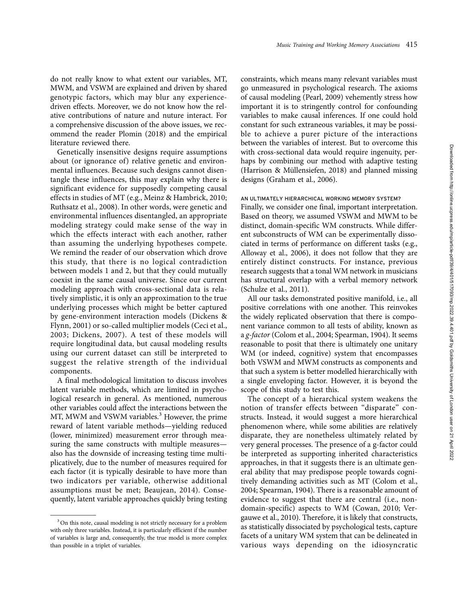do not really know to what extent our variables, MT, MWM, and VSWM are explained and driven by shared genotypic factors, which may blur any experiencedriven effects. Moreover, we do not know how the relative contributions of nature and nuture interact. For a comprehensive discussion of the above issues, we recommend the reader Plomin (2018) and the empirical literature reviewed there.

Genetically insensitive designs require assumptions about (or ignorance of) relative genetic and environmental influences. Because such designs cannot disentangle these influences, this may explain why there is significant evidence for supposedly competing causal effects in studies of MT (e.g., Meinz & Hambrick, 2010; Ruthsatz et al., 2008). In other words, were genetic and environmental influences disentangled, an appropriate modeling strategy could make sense of the way in which the effects interact with each another, rather than assuming the underlying hypotheses compete. We remind the reader of our observation which drove this study, that there is no logical contradiction between models 1 and 2, but that they could mutually coexist in the same causal universe. Since our current modeling approach with cross-sectional data is relatively simplistic, it is only an approximation to the true underlying processes which might be better captured by gene-environment interaction models (Dickens & Flynn, 2001) or so-called multiplier models (Ceci et al., 2003; Dickens, 2007). A test of these models will require longitudinal data, but causal modeling results using our current dataset can still be interpreted to suggest the relative strength of the individual components.

A final methodological limitation to discuss involves latent variable methods, which are limited in psychological research in general. As mentioned, numerous other variables could affect the interactions between the MT, MWM and VSWM variables.<sup>3</sup> However, the prime reward of latent variable methods—yielding reduced (lower, minimized) measurement error through measuring the same constructs with multiple measures also has the downside of increasing testing time multiplicatively, due to the number of measures required for each factor (it is typically desirable to have more than two indicators per variable, otherwise additional assumptions must be met; Beaujean, 2014). Consequently, latent variable approaches quickly bring testing

constraints, which means many relevant variables must go unmeasured in psychological research. The axioms of causal modeling (Pearl, 2009) vehemently stress how important it is to stringently control for confounding variables to make causal inferences. If one could hold constant for such extraneous variables, it may be possible to achieve a purer picture of the interactions between the variables of interest. But to overcome this with cross-sectional data would require ingenuity, perhaps by combining our method with adaptive testing (Harrison & Müllensiefen, 2018) and planned missing designs (Graham et al., 2006).

#### AN ULTIMATELY HIERARCHICAL WORKING MEMORY SYSTEM?

Finally, we consider one final, important interpretation. Based on theory, we assumed VSWM and MWM to be distinct, domain-specific WM constructs. While different subconstructs of WM can be experimentally dissociated in terms of performance on different tasks (e.g., Alloway et al., 2006), it does not follow that they are entirely distinct constructs. For instance, previous research suggests that a tonal WM network in musicians has structural overlap with a verbal memory network (Schulze et al., 2011).

All our tasks demonstrated positive manifold, i.e., all positive correlations with one another. This reinvokes the widely replicated observation that there is component variance common to all tests of ability, known as a g-factor (Colom et al., 2004; Spearman, 1904). It seems reasonable to posit that there is ultimately one unitary WM (or indeed, cognitive) system that encompasses both VSWM and MWM constructs as components and that such a system is better modelled hierarchically with a single enveloping factor. However, it is beyond the scope of this study to test this.

The concept of a hierarchical system weakens the notion of transfer effects between "disparate" constructs. Instead, it would suggest a more hierarchical phenomenon where, while some abilities are relatively disparate, they are nonetheless ultimately related by very general processes. The presence of a g-factor could be interpreted as supporting inherited characteristics approaches, in that it suggests there is an ultimate general ability that may predispose people towards cognitively demanding activities such as MT (Colom et al., 2004; Spearman, 1904). There is a reasonable amount of evidence to suggest that there are central (i.e., nondomain-specific) aspects to WM (Cowan, 2010; Vergauwe et al., 2010). Therefore, it is likely that constructs, as statistically dissociated by psychological tests, capture facets of a unitary WM system that can be delineated in various ways depending on the idiosyncratic

 $3$  On this note, causal modeling is not strictly necessary for a problem with only three variables. Instead, it is particularly efficient if the number of variables is large and, consequently, the true model is more complex than possible in a triplet of variables.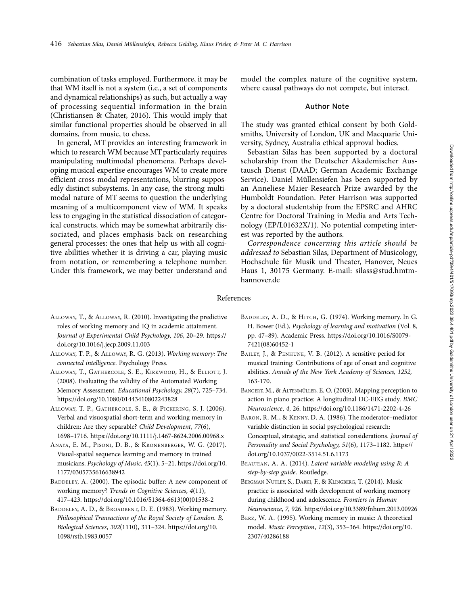combination of tasks employed. Furthermore, it may be that WM itself is not a system (i.e., a set of components and dynamical relationships) as such, but actually a way of processing sequential information in the brain (Christiansen & Chater, 2016). This would imply that similar functional properties should be observed in all domains, from music, to chess.

In general, MT provides an interesting framework in which to research WM because MT particularly requires manipulating multimodal phenomena. Perhaps developing musical expertise encourages WM to create more efficient cross-modal representations, blurring supposedly distinct subsystems. In any case, the strong multimodal nature of MT seems to question the underlying meaning of a multicomponent view of WM. It speaks less to engaging in the statistical dissociation of categorical constructs, which may be somewhat arbitrarily dissociated, and places emphasis back on researching general processes: the ones that help us with all cognitive abilities whether it is driving a car, playing music from notation, or remembering a telephone number. Under this framework, we may better understand and

model the complex nature of the cognitive system, where causal pathways do not compete, but interact.

#### Author Note

The study was granted ethical consent by both Goldsmiths, University of London, UK and Macquarie University, Sydney, Australia ethical approval bodies.

Sebastian Silas has been supported by a doctoral scholarship from the Deutscher Akademischer Austausch Dienst (DAAD; German Academic Exchange Service). Daniel Müllensiefen has been supported by an Anneliese Maier-Research Prize awarded by the Humboldt Foundation. Peter Harrison was supported by a doctoral studentship from the EPSRC and AHRC Centre for Doctoral Training in Media and Arts Technology (EP/L01632X/1). No potential competing interest was reported by the authors.

Correspondence concerning this article should be addressed to Sebastian Silas, Department of Musicology, Hochschule für Musik und Theater, Hanover, Neues Haus 1, 30175 Germany. E-mail: silass@stud.hmtmhannover.de

## References

- ALLOWAY, T., & ALLOWAY, R. (2010). Investigating the predictive roles of working memory and IQ in academic attainment. Journal of Experimental Child Psychology, 106, 20–29. [https://](https://doi.org/10.1016/j.jecp.2009.11.003) [doi.org/10.1016/j.jecp.2009.11.003](https://doi.org/10.1016/j.jecp.2009.11.003)
- ALLOWAY, T. P., & ALLOWAY, R. G. (2013). Working memory: The connected intelligence. Psychology Press.
- ALLOWAY, T., GATHERCOLE, S. E., KIRKWOOD, H., & ELLIOTT, J. (2008). Evaluating the validity of the Automated Working Memory Assessment. Educational Psychology, 28(7), 725–734. <https://doi.org/10.1080/01443410802243828>
- ALLOWAY, T. P., GATHERCOLE, S. E., & PICKERING, S. J. (2006). Verbal and visuospatial short-term and working memory in children: Are they separable? Child Development, 77(6), 1698–1716.<https://doi.org/10.1111/j.1467-8624.2006.00968.x>
- ANAYA, E. M., PISONI, D. B., & KRONENBERGER, W. G. (2017). Visual-spatial sequence learning and memory in trained musicians. Psychology of Music, 45(1), 5–21. [https://doi.org/10.](https://doi.org/10.1177/0305735616638942) [1177/0305735616638942](https://doi.org/10.1177/0305735616638942)
- BADDELEY, A. (2000). The episodic buffer: A new component of working memory? Trends in Cognitive Sciences, 4(11), 417–423. [https://doi.org/10.1016/S1364-6613\(00\)01538-2](https://doi.org/10.1016/S1364-6613(00)01538-2)
- BADDELEY, A. D., & BROADBENT, D. E. (1983). Working memory. Philosophical Transactions of the Royal Society of London. B, Biological Sciences, 302(1110), 311–324. [https://doi.org/10.](https://doi.org/10.1098/rstb.1983.0057) [1098/rstb.1983.0057](https://doi.org/10.1098/rstb.1983.0057)
- BADDELEY, A. D., & HITCH, G. (1974). Working memory. In G. H. Bower (Ed.), Psychology of learning and motivation (Vol. 8, pp. 47–89). Academic Press. [https://doi.org/10.1016/S0079-](https://doi.org/10.1016/S0079-7421(08)60452-1) [7421\(08\)60452-1](https://doi.org/10.1016/S0079-7421(08)60452-1)
- BAILEY, J., & PENHUNE, V. B. (2012). A sensitive period for musical training: Contributions of age of onset and cognitive abilities. Annals of the New York Academy of Sciences, 1252, 163-170.
- BANGERT, M., & ALTENMÜLLER, E. O. (2003). Mapping perception to action in piano practice: A longitudinal DC-EEG study. BMC Neuroscience, 4, 26.<https://doi.org/10.1186/1471-2202-4-26>
- BARON, R. M., & KENNY, D. A. (1986). The moderator–mediator variable distinction in social psychological research: Conceptual, strategic, and statistical considerations. Journal of Personality and Social Psychology, 51(6), 1173–1182. [https://](https://doi.org/10.1037/0022-3514.51.6.1173) [doi.org/10.1037/0022-3514.51.6.1173](https://doi.org/10.1037/0022-3514.51.6.1173)
- BEAUJEAN, A. A. (2014). Latent variable modeling using R: A step-by-step guide. Routledge.
- BERGMAN NUTLEY, S., DARKI, F., & KLINGBERG, T. (2014). Music practice is associated with development of working memory during childhood and adolescence. Frontiers in Human Neuroscience, 7, 926.<https://doi.org/10.3389/fnhum.2013.00926>
- BERZ, W. A. (1995). Working memory in music: A theoretical model. Music Perception, 12(3), 353–364. [https://doi.org/10.](https://doi.org/10.2307/40286188) [2307/40286188](https://doi.org/10.2307/40286188)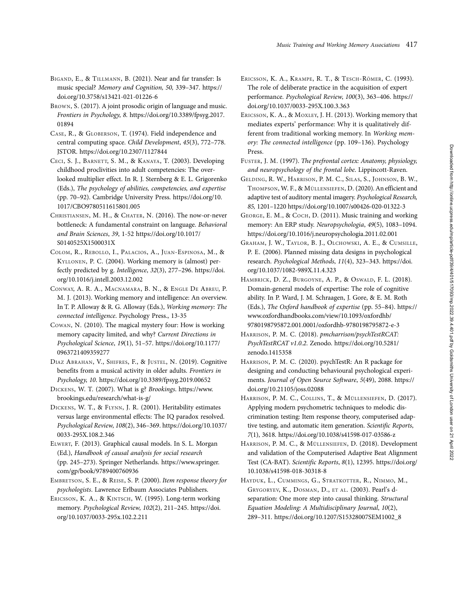- BIGAND, E., & TILLMANN, B. (2021). Near and far transfer: Is music special? Memory and Cognition, 50, 339–347. [https://](https://doi.org/10.3758/s13421-021-01226-6) [doi.org/10.3758/s13421-021-01226-6](https://doi.org/10.3758/s13421-021-01226-6)
- BROWN, S. (2017). A joint prosodic origin of language and music. Frontiers in Psychology, 8. [https://doi.org/10.3389/fpsyg.2017.](https://doi.org/10.3389/fpsyg.2017.01894) [01894](https://doi.org/10.3389/fpsyg.2017.01894)
- CASE, R., & GLOBERSON, T. (1974). Field independence and central computing space. Child Development, 45(3), 772–778. JSTOR.<https://doi.org/10.2307/1127844>
- CECI, S. J., BARNETT, S. M., & KANAYA, T. (2003). Developing childhood proclivities into adult competencies: The overlooked multiplier effect. In R. J. Sternberg & E. L. Grigorenko (Eds.), The psychology of abilities, competencies, and expertise (pp. 70–92). Cambridge University Press. [https://doi.org/10.](https://doi.org/10.1017/CBO9780511615801.005) [1017/CBO9780511615801.005](https://doi.org/10.1017/CBO9780511615801.005)
- CHRISTIANSEN, M. H., & CHATER, N. (2016). The now-or-never bottleneck: A fundamental constraint on language. Behavioral and Brain Sciences, 39, 1-52 [https://doi.org/10.1017/](https://doi.org/10.1017/S0140525X1500031X) [S0140525X1500031X](https://doi.org/10.1017/S0140525X1500031X)
- COLOM, R., REBOLLO, I., PALACIOS, A., JUAN-ESPINOSA, M., & KYLLONEN, P. C. (2004). Working memory is (almost) perfectly predicted by g. Intelligence, 32(3), 277–296. [https://doi.](https://doi.org/10.1016/j.intell.2003.12.002) [org/10.1016/j.intell.2003.12.002](https://doi.org/10.1016/j.intell.2003.12.002)
- CONWAY, A. R. A., MACNAMARA, B. N., & ENGLE DE ABREU, P. M. J. (2013). Working memory and intelligence: An overview. In T. P. Alloway & R. G. Alloway (Eds.), Working memory: The connected intelligence. Psychology Press., 13-35
- COWAN, N. (2010). The magical mystery four: How is working memory capacity limited, and why? Current Directions in Psychological Science, 19(1), 51–57. [https://doi.org/10.1177/](https://doi.org/10.1177/0963721409359277) [0963721409359277](https://doi.org/10.1177/0963721409359277)
- DIAZ ABRAHAN, V., SHIFRES, F., & JUSTEL, N. (2019). Cognitive benefits from a musical activity in older adults. Frontiers in Psychology, 10.<https://doi.org/10.3389/fpsyg.2019.00652>
- DICKENS, W. T. (2007). What is g? Brookings. [https://www.](https://www.brookings.edu/research/what-is-g/) [brookings.edu/research/what-is-g/](https://www.brookings.edu/research/what-is-g/)
- DICKENS, W. T., & FLYNN, J. R. (2001). Heritability estimates versus large environmental effects: The IQ paradox resolved. Psychological Review, 108(2), 346–369. [https://doi.org/10.1037/](https://doi.org/10.1037/0033-295X.108.2.346) [0033-295X.108.2.346](https://doi.org/10.1037/0033-295X.108.2.346)
- ELWERT, F. (2013). Graphical causal models. In S. L. Morgan (Ed.), Handbook of causal analysis for social research (pp. 245–273). Springer Netherlands. [https://www.springer.](https://www.springer.com/gp/book/9789400760936) [com/gp/book/9789400760936](https://www.springer.com/gp/book/9789400760936)
- EMBRETSON, S. E., & REISE, S. P. (2000). Item response theory for psychologists. Lawrence Erlbaum Associates Publishers.
- ERICSSON, K. A., & KINTSCH, W. (1995). Long-term working memory. Psychological Review, 102(2), 211–245. [https://doi.](https://doi.org/10.1037/0033-295x.102.2.211) [org/10.1037/0033-295x.102.2.211](https://doi.org/10.1037/0033-295x.102.2.211)
- ERICSSON, K. A., KRAMPE, R. T., & TESCH-RÖMER, C. (1993). The role of deliberate practice in the acquisition of expert performance. Psychological Review, 100(3), 363–406. [https://](https://doi.org/10.1037/0033-295X.100.3.363) [doi.org/10.1037/0033-295X.100.3.363](https://doi.org/10.1037/0033-295X.100.3.363)
- ERICSSON, K. A., & MOXLEY, J. H. (2013). Working memory that mediates experts' performance: Why it is qualitatively different from traditional working memory. In Working memory: The connected intelligence (pp. 109–136). Psychology Press.
- FUSTER, J. M. (1997). The prefrontal cortex: Anatomy, physiology, and neuropsychology of the frontal lobe. Lippincott-Raven.
- GELDING, R. W., HARRISON, P. M. C., SILAS, S., JOHNSON, B. W., THOMPSON, W. F., & MÜLLENSIEFEN, D. (2020). An efficient and adaptive test of auditory mental imagery. Psychological Research, 85, 1201–1220<https://doi.org/10.1007/s00426-020-01322-3>
- GEORGE, E. M., & COCH, D. (2011). Music training and working memory: An ERP study. Neuropsychologia, 49(5), 1083–1094. <https://doi.org/10.1016/j.neuropsychologia.2011.02.001>
- GRAHAM, J. W., TAYLOR, B. J., OLCHOWSKI, A. E., & CUMSILLE, P. E. (2006). Planned missing data designs in psychological research. Psychological Methods, 11(4), 323–343. [https://doi.](https://doi.org/10.1037/1082-989X.11.4.323) [org/10.1037/1082-989X.11.4.323](https://doi.org/10.1037/1082-989X.11.4.323)
- HAMBRICK, D. Z., BURGOYNE, A. P., & OSWALD, F. L. (2018). Domain-general models of expertise: The role of cognitive ability. In P. Ward, J. M. Schraagen, J. Gore, & E. M. Roth (Eds.), The Oxford handbook of expertise (pp. 55–84). [https://](https://www.oxfordhandbooks.com/view/10.1093/oxfordhb/9780198795872.001.0001/oxfordhb-9780198795872-e-3) [www.oxfordhandbooks.com/view/10.1093/oxfordhb/](https://www.oxfordhandbooks.com/view/10.1093/oxfordhb/9780198795872.001.0001/oxfordhb-9780198795872-e-3) [9780198795872.001.0001/oxfordhb-9780198795872-e-3](https://www.oxfordhandbooks.com/view/10.1093/oxfordhb/9780198795872.001.0001/oxfordhb-9780198795872-e-3)
- HARRISON, P. M. C. (2018). pmcharrison/psychTestRCAT: PsychTestRCAT v1.0.2. Zenodo. [https://doi.org/10.5281/](https://doi.org/10.5281/zenodo.1415358) [zenodo.1415358](https://doi.org/10.5281/zenodo.1415358)
- HARRISON, P. M. C. (2020). psychTestR: An R package for designing and conducting behavioural psychological experiments. Journal of Open Source Software, 5(49), 2088. [https://](https://doi.org/10.21105/joss.02088) [doi.org/10.21105/joss.02088](https://doi.org/10.21105/joss.02088)
- HARRISON, P. M. C., COLLINS, T., & MÜLLENSIEFEN, D. (2017). Applying modern psychometric techniques to melodic discrimination testing: Item response theory, computerised adaptive testing, and automatic item generation. Scientific Reports, 7(1), 3618.<https://doi.org/10.1038/s41598-017-03586-z>
- HARRISON, P. M. C., & MÜLLENSIEFEN, D. (2018). Development and validation of the Computerised Adaptive Beat Alignment Test (CA-BAT). Scientific Reports, 8(1), 12395. [https://doi.org/](https://doi.org/10.1038/s41598-018-30318-8) [10.1038/s41598-018-30318-8](https://doi.org/10.1038/s41598-018-30318-8)
- HAYDUK, L., CUMMINGS, G., STRATKOTTER, R., NIMMO, M., GRYGORYEV, K., DOSMAN, D., ET AL. (2003). Pearl's dseparation: One more step into causal thinking. Structural Equation Modeling: A Multidisciplinary Journal, 10(2), 289–311. [https://doi.org/10.1207/S15328007SEM1002\\_8](https://doi.org/10.1207/S15328007SEM1002_8)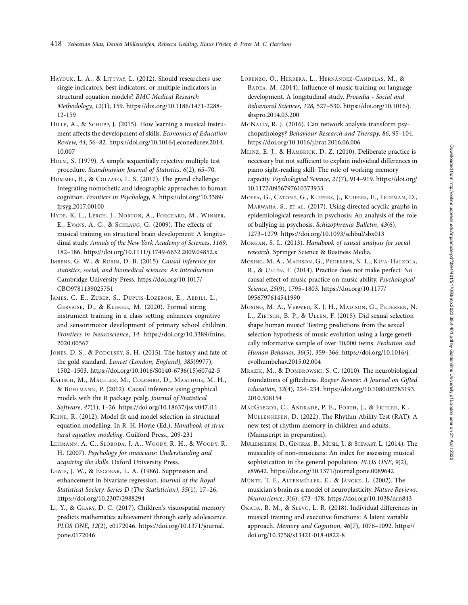- HAYDUK, L. A., & LITTVAY, L. (2012). Should researchers use single indicators, best indicators, or multiple indicators in structural equation models? BMC Medical Research Methodology, 12(1), 159. [https://doi.org/10.1186/1471-2288-](https://doi.org/10.1186/1471-2288-12-159) [12-159](https://doi.org/10.1186/1471-2288-12-159)
- HILLE, A., & SCHUPP, J. (2015). How learning a musical instrument affects the development of skills. Economics of Education Review, 44, 56–82. [https://doi.org/10.1016/j.econedurev.2014.](https://doi.org/10.1016/j.econedurev.2014.10.007) [10.007](https://doi.org/10.1016/j.econedurev.2014.10.007)
- HOLM, S. (1979). A simple sequentially rejective multiple test procedure. Scandinavian Journal of Statistics, 6(2), 65–70.
- HOMMEL, B., & COLZATO, L. S. (2017). The grand challenge: Integrating nomothetic and ideographic approaches to human cognition. Frontiers in Psychology, 8. [https://doi.org/10.3389/](https://doi.org/10.3389/fpsyg.2017.00100) [fpsyg.2017.00100](https://doi.org/10.3389/fpsyg.2017.00100)
- HYDE, K. L., LERCH, J., NORTON, A., FORGEARD, M., WINNER, E., EVANS, A. C., & SCHLAUG, G. (2009). The effects of musical training on structural brain development: A longitudinal study. Annals of the New York Academy of Sciences, 1169, 182–186.<https://doi.org/10.1111/j.1749-6632.2009.04852.x>
- IMBENS, G. W., & RUBIN, D. B. (2015). Causal inference for statistics, social, and biomedical sciences: An introduction. Cambridge University Press. [https://doi.org/10.1017/](https://doi.org/10.1017/CBO9781139025751) [CBO9781139025751](https://doi.org/10.1017/CBO9781139025751)
- JAMES, C. E., ZUBER, S., DUPUIS-LOZERON, E., ABDILI, L., GERVAISE, D., & KLIEGEL, M. (2020). Formal string instrument training in a class setting enhances cognitive and sensorimotor development of primary school children. Frontiers in Neuroscience, 14. [https://doi.org/10.3389/fnins.](https://doi.org/10.3389/fnins.2020.00567) [2020.00567](https://doi.org/10.3389/fnins.2020.00567)
- JONES, D. S., & PODOLSKY, S. H. (2015). The history and fate of the gold standard. Lancet (London, England), 385(9977), 1502–1503. [https://doi.org/10.1016/S0140-6736\(15\)60742-5](https://doi.org/10.1016/S0140-6736(15)60742-5)
- KALISCH, M., MÄCHLER, M., COLOMBO, D., MAATHUIS, M. H., & BÜHLMANN, P. (2012). Causal inference using graphical models with the R package pcalg. Journal of Statistical Software, 47(1), 1–26.<https://doi.org/10.18637/jss.v047.i11>
- KLINE, R. (2012). Model fit and model selection in structural equation modelling. In R. H. Hoyle (Ed.), Handbook of structural equation modeling. Guilford Press., 209-231
- LEHMANN, A. C., SLOBODA, J. A., WOODY, R. H., & WOODY, R. H. (2007). Psychology for musicians: Understanding and acquiring the skills. Oxford University Press.
- LEWIS, J. W., & ESCOBAR, L. A. (1986). Suppression and enhancement in bivariate regression. Journal of the Royal Statistical Society. Series D (The Statistician), 35(1), 17–26. <https://doi.org/10.2307/2988294>
- LI, Y., & GEARY, D. C. (2017). Children's visuospatial memory predicts mathematics achievement through early adolescence. PLOS ONE, 12(2), e0172046. [https://doi.org/10.1371/journal.](https://doi.org/10.1371/journal.pone.0172046) [pone.0172046](https://doi.org/10.1371/journal.pone.0172046)
- LORENZO, O., HERRERA, L., HERNÁNDEZ-CANDELAS, M., & BADEA, M. (2014). Influence of music training on language development. A longitudinal study. Procedia - Social and Behavioral Sciences, 128, 527–530. [https://doi.org/10.1016/j.](https://doi.org/10.1016/j.sbspro.2014.03.200) [sbspro.2014.03.200](https://doi.org/10.1016/j.sbspro.2014.03.200)
- MCNALLY, R. J. (2016). Can network analysis transform psychopathology? Behaviour Research and Therapy, 86, 95–104. <https://doi.org/10.1016/j.brat.2016.06.006>
- MEINZ, E. J., & HAMBRICK, D. Z. (2010). Deliberate practice is necessary but not sufficient to explain individual differences in piano sight-reading skill: The role of working memory capacity. Psychological Science, 21(7), 914–919. [https://doi.org/](https://doi.org/10.1177/0956797610373933) [10.1177/0956797610373933](https://doi.org/10.1177/0956797610373933)
- MOFFA, G., CATONE, G., KUIPERS, J., KUIPERS, E., FREEMAN, D., MARWAHA, S., ET AL. (2017). Using directed acyclic graphs in epidemiological research in psychosis: An analysis of the role of bullying in psychosis. Schizophrenia Bulletin, 43(6), 1273–1279.<https://doi.org/10.1093/schbul/sbx013>
- MORGAN, S. L. (2013). Handbook of causal analysis for social research. Springer Science & Business Media.
- MOSING, M. A., MADISON, G., PEDERSEN, N. L., KUJA-HALKOLA, R., & ULLÉN, F. (2014). Practice does not make perfect: No causal effect of music practice on music ability. Psychological Science, 25(9), 1795–1803. [https://doi.org/10.1177/](https://doi.org/10.1177/0956797614541990) [0956797614541990](https://doi.org/10.1177/0956797614541990)
- MOSING, M. A., VERWEIJ, K. J. H., MADISON, G., PEDERSEN, N. L., ZIETSCH, B. P., & ULLÉN, F. (2015). Did sexual selection shape human music? Testing predictions from the sexual selection hypothesis of music evolution using a large genetically informative sample of over 10,000 twins. Evolution and Human Behavior, 36(5), 359–366. [https://doi.org/10.1016/j.](https://doi.org/10.1016/j.evolhumbehav.2015.02.004) [evolhumbehav.2015.02.004](https://doi.org/10.1016/j.evolhumbehav.2015.02.004)
- MRAZIK, M., & DOMBROWSKI, S. C. (2010). The neurobiological foundations of giftedness. Roeper Review: A Journal on Gifted Education, 32(4), 224–234. [https://doi.org/10.1080/02783193.](https://doi.org/10.1080/02783193.2010.508154) [2010.508154](https://doi.org/10.1080/02783193.2010.508154)
- MACGREGOR, C., ANDRADE, P. E., FORTH, J., & FRIELER, K., MÜLLENSIEFEN, D. (2022). The Rhythm Ability Test (RAT): A new test of rhythm memory in children and adults. (Manuscript in preparation).
- MÜLLENSIEFEN, D., GINGRAS, B., MUSIL, J., & STEWART, L. (2014). The musicality of non-musicians: An index for assessing musical sophistication in the general population. PLOS ONE, 9(2), e89642.<https://doi.org/10.1371/journal.pone.0089642>
- MÜNTE, T. F., ALTENMÜLLER, E., & JÄNCKE, L. (2002). The musician's brain as a model of neuroplasticity. Nature Reviews. Neuroscience, 3(6), 473–478.<https://doi.org/10.1038/nrn843>
- OKADA, B. M., & SLEVC, L. R. (2018). Individual differences in musical training and executive functions: A latent variable approach. Memory and Cognition, 46(7), 1076–1092. [https://](https://doi.org/10.3758/s13421-018-0822-8) [doi.org/10.3758/s13421-018-0822-8](https://doi.org/10.3758/s13421-018-0822-8)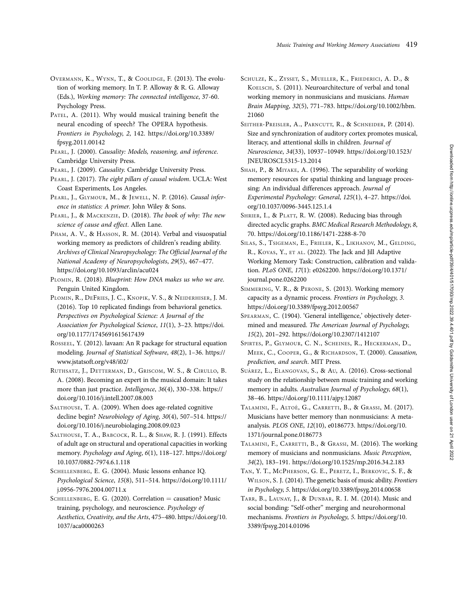- OVERMANN, K., WYNN, T., & COOLIDGE, F. (2013). The evolution of working memory. In T. P. Alloway & R. G. Alloway (Eds.), Working memory: The connected intelligence, 37-60. Psychology Press.
- PATEL, A. (2011). Why would musical training benefit the neural encoding of speech? The OPERA hypothesis. Frontiers in Psychology, 2, 142. [https://doi.org/10.3389/](https://doi.org/10.3389/fpsyg.2011.00142) [fpsyg.2011.00142](https://doi.org/10.3389/fpsyg.2011.00142)
- PEARL, J. (2000). Causality: Models, reasoning, and inference. Cambridge University Press.
- PEARL, J. (2009). Causality. Cambridge University Press.

PEARL, J. (2017). The eight pillars of causal wisdom. UCLA: West Coast Experiments, Los Angeles.

- PEARL, J., GLYMOUR, M., & JEWELL, N. P. (2016). Causal inference in statistics: A primer. John Wiley & Sons.
- PEARL, J., & MACKENZIE, D. (2018). The book of why: The new science of cause and effect. Allen Lane.
- PHAM, A. V., & HASSON, R. M. (2014). Verbal and visuospatial working memory as predictors of children's reading ability. Archives of Clinical Neuropsychology: The Official Journal of the National Academy of Neuropsychologists, 29(5), 467–477. <https://doi.org/10.1093/arclin/acu024>
- PLOMIN, R. (2018). Blueprint: How DNA makes us who we are. Penguin United Kingdom.
- PLOMIN, R., DEFRIES, J. C., KNOPIK, V. S., & NEIDERHISER, J. M. (2016). Top 10 replicated findings from behavioral genetics. Perspectives on Psychological Science: A Journal of the Association for Psychological Science, 11(1), 3–23. [https://doi.](https://doi.org/10.1177/1745691615617439) [org/10.1177/1745691615617439](https://doi.org/10.1177/1745691615617439)
- ROSSEEL, Y. (2012). lavaan: An R package for structural equation modeling. Journal of Statistical Software, 48(2), 1–36. [https://](https://www.jstatsoft.org/v48/i02/) [www.jstatsoft.org/v48/i02/](https://www.jstatsoft.org/v48/i02/)
- RUTHSATZ, J., DETTERMAN, D., GRISCOM, W. S., & CIRULLO, B. A. (2008). Becoming an expert in the musical domain: It takes more than just practice. Intelligence, 36(4), 330–338. [https://](https://doi.org/10.1016/j.intell.2007.08.003) [doi.org/10.1016/j.intell.2007.08.003](https://doi.org/10.1016/j.intell.2007.08.003)
- SALTHOUSE, T. A. (2009). When does age-related cognitive decline begin? Neurobiology of Aging, 30(4), 507–514. [https://](https://doi.org/10.1016/j.neurobiolaging.2008.09.023) [doi.org/10.1016/j.neurobiolaging.2008.09.023](https://doi.org/10.1016/j.neurobiolaging.2008.09.023)
- SALTHOUSE, T. A., BABCOCK, R. L., & SHAW, R. J. (1991). Effects of adult age on structural and operational capacities in working memory. Psychology and Aging, 6(1), 118–127. [https://doi.org/](https://doi.org/10.1037/0882-7974.6.1.118) [10.1037/0882-7974.6.1.118](https://doi.org/10.1037/0882-7974.6.1.118)
- SCHELLENBERG, E. G. (2004). Music lessons enhance IQ. Psychological Science, 15(8), 511–514. [https://doi.org/10.1111/](https://doi.org/10.1111/j.0956-7976.2004.00711.x) [j.0956-7976.2004.00711.x](https://doi.org/10.1111/j.0956-7976.2004.00711.x)
- SCHELLENBERG, E. G. (2020). Correlation = causation? Music training, psychology, and neuroscience. Psychology of Aesthetics, Creativity, and the Arts, 475–480. [https://doi.org/10.](https://doi.org/10.1037/aca0000263) [1037/aca0000263](https://doi.org/10.1037/aca0000263)
- SCHULZE, K., ZYSSET, S., MUELLER, K., FRIEDERICI, A. D., & KOELSCH, S. (2011). Neuroarchitecture of verbal and tonal working memory in nonmusicians and musicians. Human Brain Mapping, 32(5), 771–783. [https://doi.org/10.1002/hbm.](https://doi.org/10.1002/hbm.21060) [21060](https://doi.org/10.1002/hbm.21060)
- SEITHER-PREISLER, A., PARNCUTT, R., & SCHNEIDER, P. (2014). Size and synchronization of auditory cortex promotes musical, literacy, and attentional skills in children. Journal of Neuroscience, 34(33), 10937–10949. [https://doi.org/10.1523/](https://doi.org/10.1523/JNEUROSCI.5315-13.2014) [JNEUROSCI.5315-13.2014](https://doi.org/10.1523/JNEUROSCI.5315-13.2014)
- SHAH, P., & MIYAKE, A. (1996). The separability of working memory resources for spatial thinking and language processing: An individual differences approach. Journal of Experimental Psychology: General, 125(1), 4–27. [https://doi.](https://doi.org/10.1037/0096-3445.125.1.4) [org/10.1037/0096-3445.125.1.4](https://doi.org/10.1037/0096-3445.125.1.4)
- SHRIER, I., & PLATT, R. W. (2008). Reducing bias through directed acyclic graphs. BMC Medical Research Methodology, 8, 70.<https://doi.org/10.1186/1471-2288-8-70>
- SILAS, S., TSIGEMAN, E., FRIELER, K., LIKHANOV, M., GELDING, R., KOVAS, Y., ET AL. (2022). The Jack and Jill Adaptive Working Memory Task: Construction, calibration and validation. PLoS ONE, 17(1): e0262200. [https://doi.org/10.1371/](https://doi.org/10.1371/journal.pone.0262200) [journal.pone.0262200](https://doi.org/10.1371/journal.pone.0262200)
- SIMMERING, V. R., & PERONE, S. (2013). Working memory capacity as a dynamic process. Frontiers in Psychology, 3. <https://doi.org/10.3389/fpsyg.2012.00567>
- SPEARMAN, C. (1904). 'General intelligence,' objectively determined and measured. The American Journal of Psychology, 15(2), 201–292.<https://doi.org/10.2307/1412107>
- SPIRTES, P., GLYMOUR, C. N., SCHEINES, R., HECKERMAN, D., MEEK, C., COOPER, G., & RICHARDSON, T. (2000). Causation, prediction, and search. MIT Press.
- SUÁREZ, L., ELANGOVAN, S., & AU, A. (2016). Cross-sectional study on the relationship between music training and working memory in adults. Australian Journal of Psychology, 68(1), 38–46.<https://doi.org/10.1111/ajpy.12087>
- TALAMINI, F., ALTOE`, G., CARRETTI, B., & GRASSI, M. (2017). Musicians have better memory than nonmusicians: A metaanalysis. PLOS ONE, 12(10), e0186773. [https://doi.org/10.](https://doi.org/10.1371/journal.pone.0186773) [1371/journal.pone.0186773](https://doi.org/10.1371/journal.pone.0186773)
- TALAMINI, F., CARRETTI, B., & GRASSI, M. (2016). The working memory of musicians and nonmusicians. Music Perception, 34(2), 183–191.<https://doi.org/10.1525/mp.2016.34.2.183>
- TAN, Y. T., MCPHERSON, G. E., PERETZ, I., BERKOVIC, S. F., & WILSON, S. J. (2014). The genetic basis of music ability. Frontiers in Psychology, 5.<https://doi.org/10.3389/fpsyg.2014.00658>
- TARR, B., LAUNAY, J., & DUNBAR, R. I. M. (2014). Music and social bonding: "Self-other" merging and neurohormonal mechanisms. Frontiers in Psychology, 5. [https://doi.org/10.](https://doi.org/10.3389/fpsyg.2014.01096) [3389/fpsyg.2014.01096](https://doi.org/10.3389/fpsyg.2014.01096)